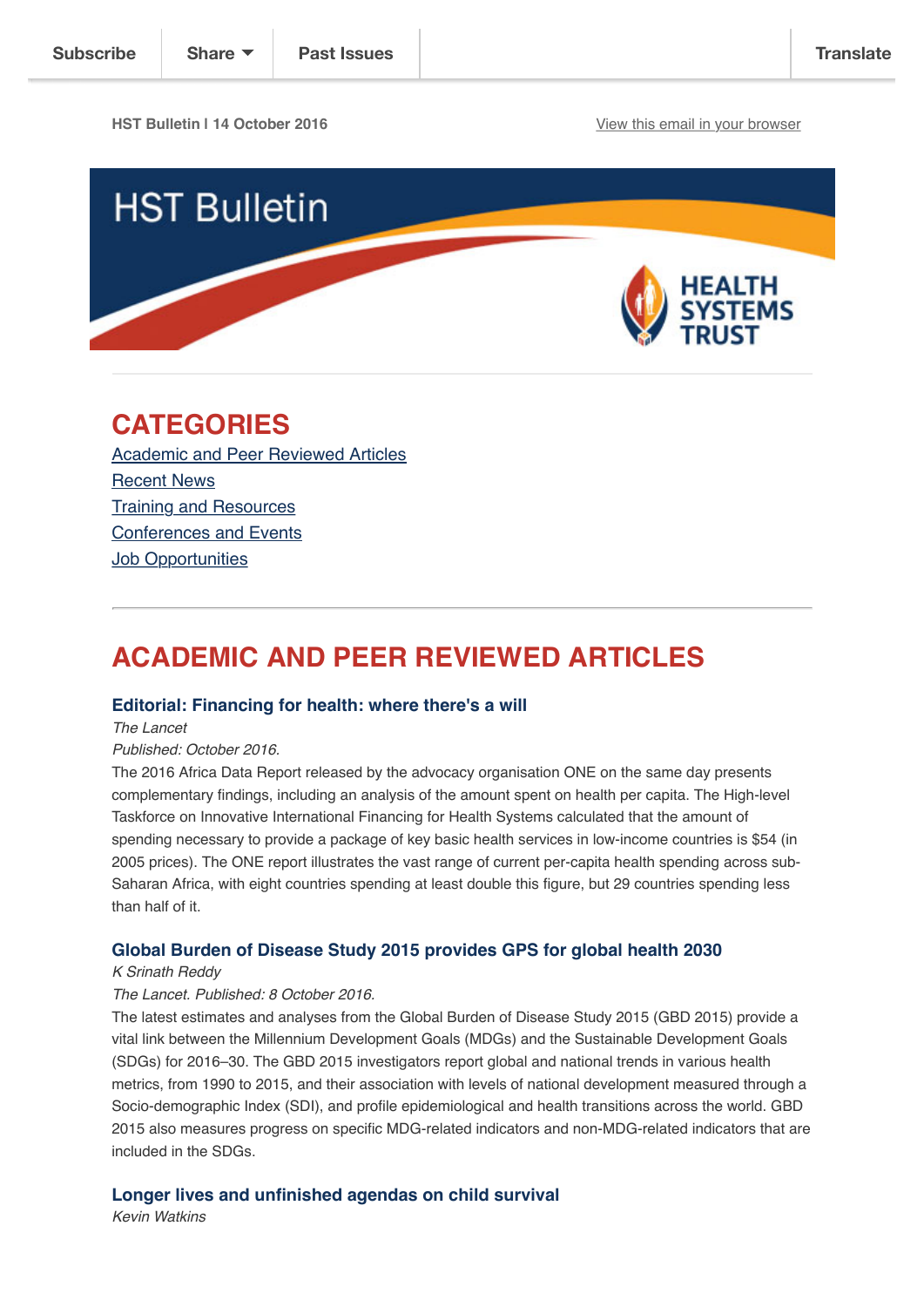**HST Bulletin | 14 October 2016** [View this email in your browser](http://us14.campaign-archive2.com/?u=72d7614ab973e486252cafb97&id=85992b351f&e=4a187cc470)



# **CATEGORIES**

[Academic and Peer Reviewed Articles](http://us14.campaign-archive2.com/?u=72d7614ab973e486252cafb97&id=85992b351f&e=4a187cc470#Academic) [Recent News](http://us14.campaign-archive2.com/?u=72d7614ab973e486252cafb97&id=85992b351f&e=4a187cc470#Recent) [Training and Resources](http://us14.campaign-archive2.com/?u=72d7614ab973e486252cafb97&id=85992b351f&e=4a187cc470#Training) [Conferences and Events](http://us14.campaign-archive2.com/?u=72d7614ab973e486252cafb97&id=85992b351f&e=4a187cc470#Conferences) [Job Opportunities](http://us14.campaign-archive2.com/?u=72d7614ab973e486252cafb97&id=85992b351f&e=4a187cc470#Job%20Opportunities)

# **ACADEMIC AND PEER REVIEWED ARTICLES**

## **[Editorial: Financing for health: where there's a will](http://www.thelancet.com/journals/langlo/article/PIIS2214-109X(16)30226-1/fulltext)**

*The Lancet*

#### *Published: October 2016.*

The 2016 Africa Data Report released by the advocacy organisation ONE on the same day presents complementary findings, including an analysis of the amount spent on health per capita. The High-level Taskforce on Innovative International Financing for Health Systems calculated that the amount of spending necessary to provide a package of key basic health services in low-income countries is \$54 (in 2005 prices). The ONE report illustrates the vast range of current per-capita health spending across sub-Saharan Africa, with eight countries spending at least double this figure, but 29 countries spending less than half of it.

# **[Global Burden of Disease Study 2015 provides GPS for global health 2030](http://www.thelancet.com/journals/lancet/article/PIIS0140-6736(16)31743-3/fulltext?elsca1=etoc)**

#### *K Srinath Reddy*

#### *The Lancet. Published: 8 October 2016.*

The latest estimates and analyses from the Global Burden of Disease Study 2015 (GBD 2015) provide a vital link between the Millennium Development Goals (MDGs) and the Sustainable Development Goals (SDGs) for 2016–30. The GBD 2015 investigators report global and national trends in various health metrics, from 1990 to 2015, and their association with levels of national development measured through a Socio-demographic Index (SDI), and profile epidemiological and health transitions across the world. GBD 2015 also measures progress on specific MDG-related indicators and non-MDG-related indicators that are included in the SDGs.

# **[Longer lives and unfinished agendas on child survival](http://www.thelancet.com/journals/lancet/article/PIIS0140-6736(16)31744-5/fulltext?elsca1=etoc)**

*Kevin Watkins*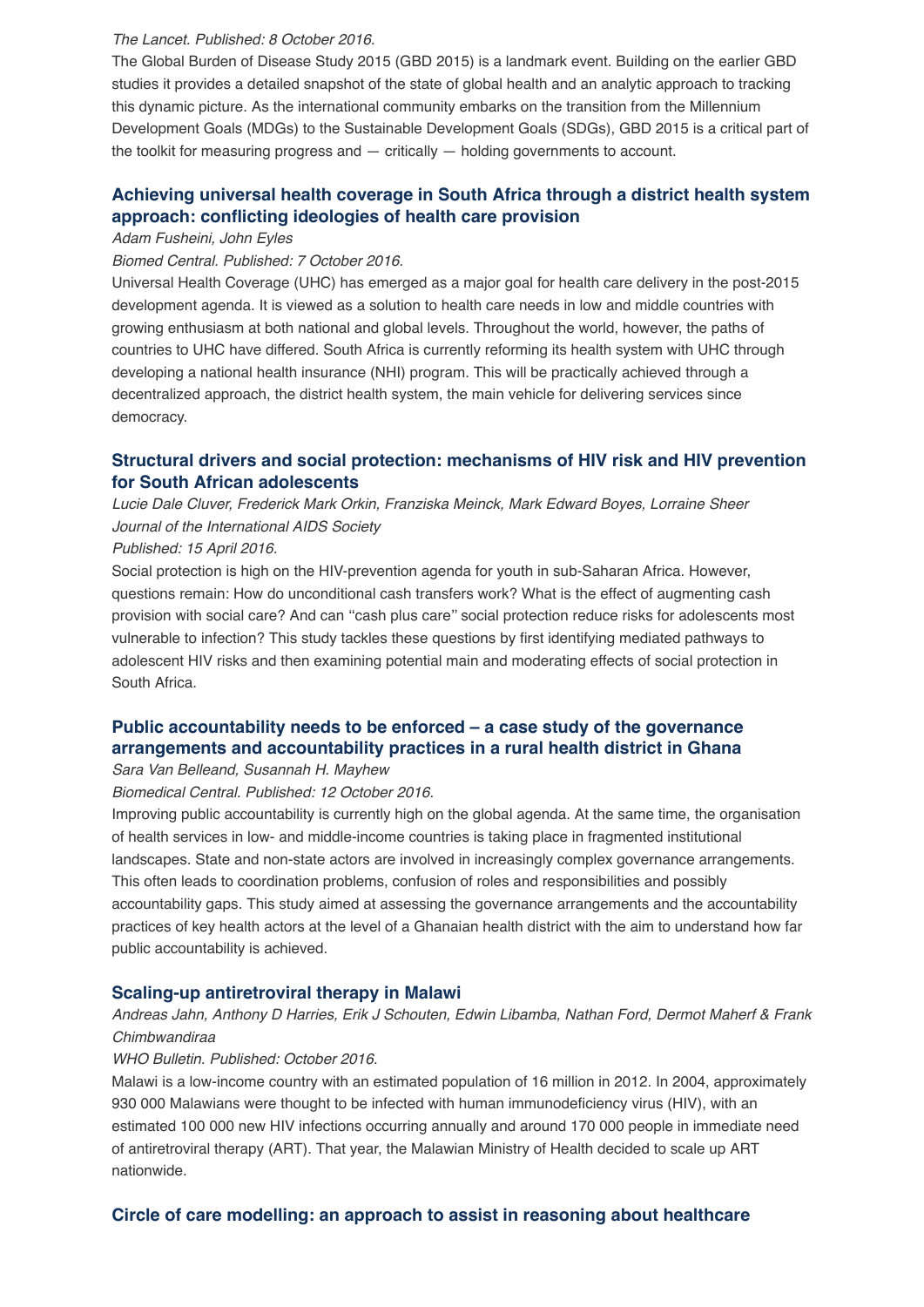#### *The Lancet. Published: 8 October 2016.*

The Global Burden of Disease Study 2015 (GBD 2015) is a landmark event. Building on the earlier GBD studies it provides a detailed snapshot of the state of global health and an analytic approach to tracking this dynamic picture. As the international community embarks on the transition from the Millennium Development Goals (MDGs) to the Sustainable Development Goals (SDGs), GBD 2015 is a critical part of the toolkit for measuring progress and — critically — holding governments to account.

# **[Achieving universal health coverage in South Africa through a district health system](https://bmchealthservres.biomedcentral.com/articles/10.1186/s12913-016-1797-4) approach: conflicting ideologies of health care provision**

#### *Adam Fusheini, John Eyles*

#### *Biomed Central. Published: 7 October 2016.*

Universal Health Coverage (UHC) has emerged as a major goal for health care delivery in the post-2015 development agenda. It is viewed as a solution to health care needs in low and middle countries with growing enthusiasm at both national and global levels. Throughout the world, however, the paths of countries to UHC have differed. South Africa is currently reforming its health system with UHC through developing a national health insurance (NHI) program. This will be practically achieved through a decentralized approach, the district health system, the main vehicle for delivering services since democracy.

# **[Structural drivers and social protection: mechanisms of HIV risk and HIV prevention](http://www.jiasociety.org/index.php/jias/article/view/20646/pdf) for South African adolescents**

*Lucie Dale Cluver, Frederick Mark Orkin, Franziska Meinck, Mark Edward Boyes, Lorraine Sheer Journal of the International AIDS Society*

#### *Published: 15 April 2016.*

Social protection is high on the HIV-prevention agenda for youth in sub-Saharan Africa. However, questions remain: How do unconditional cash transfers work? What is the effect of augmenting cash provision with social care? And can ''cash plus care'' social protection reduce risks for adolescents most vulnerable to infection? This study tackles these questions by first identifying mediated pathways to adolescent HIV risks and then examining potential main and moderating effects of social protection in South Africa.

# **[Public accountability needs to be enforced – a case study of the governance](https://bmchealthservres.biomedcentral.com/articles/10.1186/s12913-016-1836-1) arrangements and accountability practices in a rural health district in Ghana**

#### *Sara Van Belleand, Susannah H. Mayhew*

# *Biomedical Central. Published: 12 October 2016.*

Improving public accountability is currently high on the global agenda. At the same time, the organisation of health services in low- and middle-income countries is taking place in fragmented institutional landscapes. State and non-state actors are involved in increasingly complex governance arrangements. This often leads to coordination problems, confusion of roles and responsibilities and possibly accountability gaps. This study aimed at assessing the governance arrangements and the accountability practices of key health actors at the level of a Ghanaian health district with the aim to understand how far public accountability is achieved.

#### **[Scaling-up antiretroviral therapy in Malawi](http://www.who.int/bulletin/volumes/94/10/15-166074.pdf)**

## *Andreas Jahn, Anthony D Harries, Erik J Schouten, Edwin Libamba, Nathan Ford, Dermot Maherf & Frank Chimbwandiraa*

#### *WHO Bulletin. Published: October 2016.*

Malawi is a low-income country with an estimated population of 16 million in 2012. In 2004, approximately 930 000 Malawians were thought to be infected with human immunodeficiency virus (HIV), with an estimated 100 000 new HIV infections occurring annually and around 170 000 people in immediate need of antiretroviral therapy (ART). That year, the Malawian Ministry of Health decided to scale up ART nationwide.

#### **[Circle of care modelling: an approach to assist in reasoning about healthcare](https://bmchealthservres.biomedcentral.com/articles/10.1186/s12913-016-1806-7)**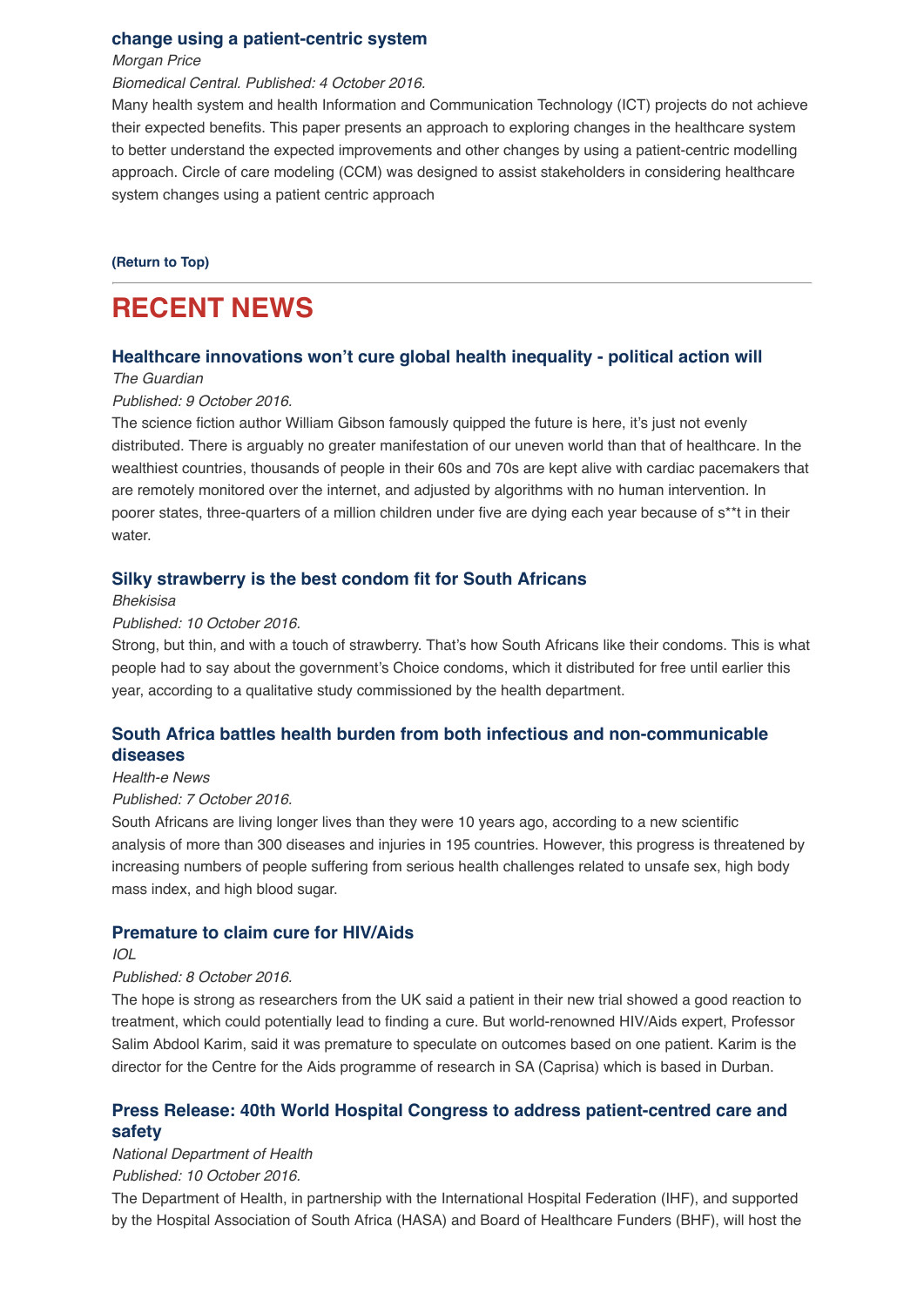### **[change using a patient-centric system](https://bmchealthservres.biomedcentral.com/articles/10.1186/s12913-016-1806-7)**

*Morgan Price*

## *Biomedical Central. Published: 4 October 2016.*

Many health system and health Information and Communication Technology (ICT) projects do not achieve their expected benefits. This paper presents an approach to exploring changes in the healthcare system to better understand the expected improvements and other changes by using a patient-centric modelling approach. Circle of care modeling (CCM) was designed to assist stakeholders in considering healthcare system changes using a patient centric approach

#### **[\(Return to Top\)](http://us14.campaign-archive2.com/?u=72d7614ab973e486252cafb97&id=85992b351f&e=4a187cc470#Top)**

# **RECENT NEWS**

#### **[Healthcare innovations won't cure global health inequality - political action will](https://www.theguardian.com/global-development/2016/oct/09/healthcare-innovations-wont-cure-global-health-inequality-political-action-will-world-health-summit-berlin)**

## *The Guardian*

#### *Published: 9 October 2016.*

The science fiction author William Gibson famously quipped the future is here, it's just not evenly distributed. There is arguably no greater manifestation of our uneven world than that of healthcare. In the wealthiest countries, thousands of people in their 60s and 70s are kept alive with cardiac pacemakers that are remotely monitored over the internet, and adjusted by algorithms with no human intervention. In poorer states, three-quarters of a million children under five are dying each year because of s\*\*t in their water.

### **[Silky strawberry is the best condom fit for South Africans](http://bhekisisa.org/article/2016-10-10-00-silky-strawberry-is-the-best-condom-fit-for-south-africans-1)**

### *Bhekisisa*

#### *Published: 10 October 2016.*

Strong, but thin, and with a touch of strawberry. That's how South Africans like their condoms. This is what people had to say about the government's Choice condoms, which it distributed for free until earlier this year, according to a qualitative study commissioned by the health department.

# **[South Africa battles health burden from both infectious and non-communicable](https://www.health-e.org.za/2016/10/07/south-africa-battles-health-burden-infectious-non-communicable-diseases/) diseases**

#### *Health-e News*

#### *Published: 7 October 2016.*

South Africans are living longer lives than they were 10 years ago, according to a new scientific analysis of more than 300 diseases and injuries in 195 countries. However, this progress is threatened by increasing numbers of people suffering from serious health challenges related to unsafe sex, high body mass index, and high blood sugar.

#### **[Premature to claim cure for HIV/Aids](http://www.iol.co.za/ios/news/premature-to-claim-cure-for-hivaids-2077691)**

#### *IOL*

#### *Published: 8 October 2016.*

The hope is strong as researchers from the UK said a patient in their new trial showed a good reaction to treatment, which could potentially lead to finding a cure. But world-renowned HIV/Aids expert, Professor Salim Abdool Karim, said it was premature to speculate on outcomes based on one patient. Karim is the director for the Centre for the Aids programme of research in SA (Caprisa) which is based in Durban.

# **[Press Release: 40th World Hospital Congress to address patient-centred care and](http://www.hst.org.za/news/press-release-40th-world-hospital-congress-address-patient-centred-care-and-safety) safety**

*National Department of Health*

#### *Published: 10 October 2016.*

The Department of Health, in partnership with the International Hospital Federation (IHF), and supported by the Hospital Association of South Africa (HASA) and Board of Healthcare Funders (BHF), will host the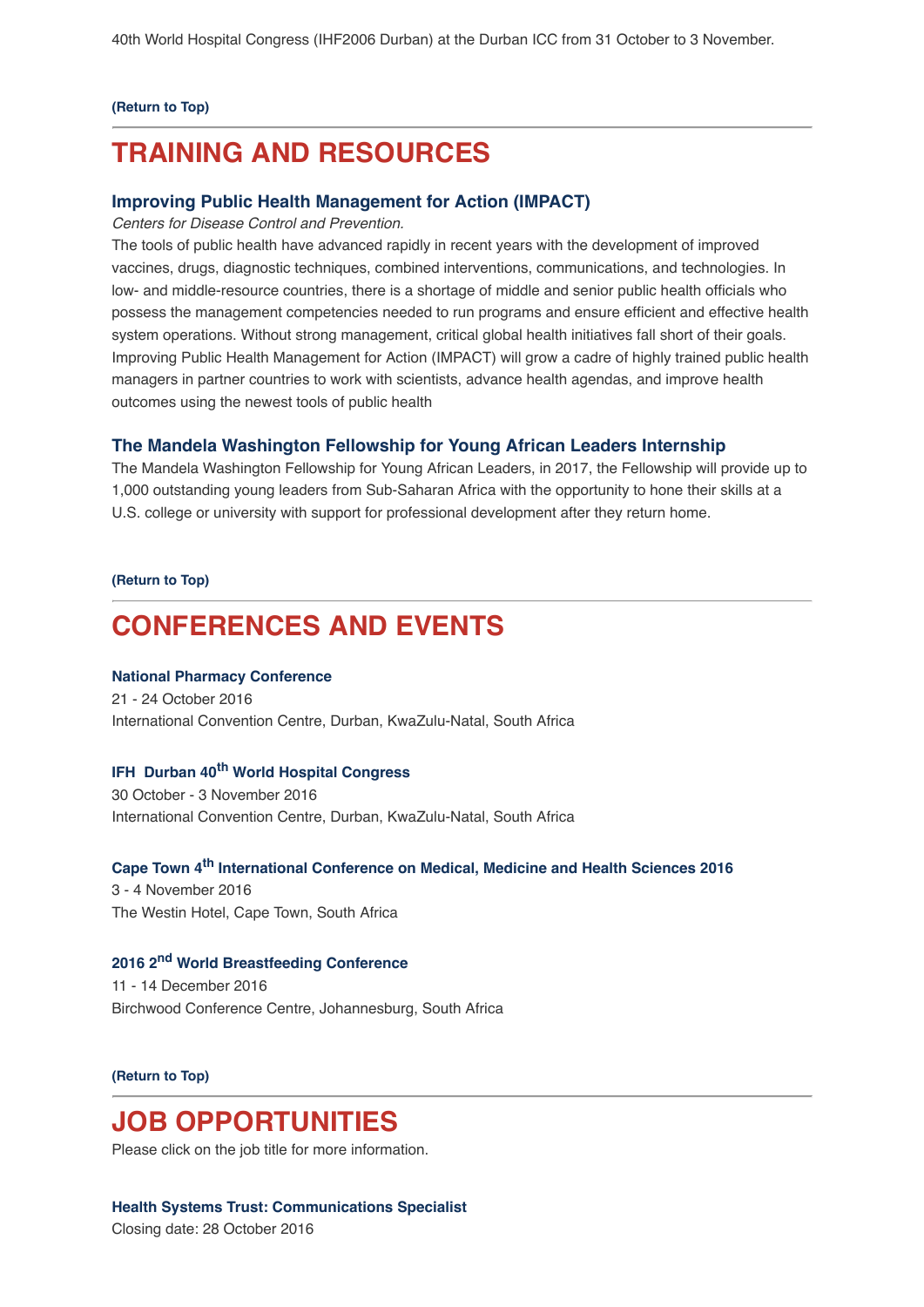#### **[\(Return to Top\)](http://us14.campaign-archive2.com/?u=72d7614ab973e486252cafb97&id=85992b351f&e=4a187cc470#Top)**

# **TRAINING AND RESOURCES**

## **[Improving Public Health Management for Action \(IMPACT\)](http://www.cdc.gov/globalhealth/healthprotection/impact/index.html)**

*Centers for Disease Control and Prevention.*

The tools of public health have advanced rapidly in recent years with the development of improved vaccines, drugs, diagnostic techniques, combined interventions, communications, and technologies. In low- and middle-resource countries, there is a shortage of middle and senior public health officials who possess the management competencies needed to run programs and ensure efficient and effective health system operations. Without strong management, critical global health initiatives fall short of their goals. Improving Public Health Management for Action (IMPACT) will grow a cadre of highly trained public health managers in partner countries to work with scientists, advance health agendas, and improve health outcomes using the newest tools of public health

### **[The Mandela Washington Fellowship for Young African Leaders Internship](https://yali.state.gov/washington-fellowship/)**

The Mandela Washington Fellowship for Young African Leaders, in 2017, the Fellowship will provide up to 1,000 outstanding young leaders from Sub-Saharan Africa with the opportunity to hone their skills at a U.S. college or university with support for professional development after they return home.

### **[\(Return to Top\)](http://us14.campaign-archive2.com/?u=72d7614ab973e486252cafb97&id=85992b351f&e=4a187cc470#Top)**

# **CONFERENCES AND EVENTS**

### **[National Pharmacy Conference](http://www.sapcconference.za.org/)**

21 - 24 October 2016 International Convention Centre, Durban, KwaZulu-Natal, South Africa

## **IFH Durban 40[th World Hospital Congress](https://www.ihf-fih.org/ihfcongress)**

30 October - 3 November 2016 International Convention Centre, Durban, KwaZulu-Natal, South Africa

# **[Cape Town 4th International Conference on Medical, Medicine and Health Sciences 2016](http://academicfora.com/mmhs-november-03-04-2016-cape-town-south-africa/)**

3 - 4 November 2016 The Westin Hotel, Cape Town, South Africa

## **[2016 2nd World Breastfeeding Conference](http://worldbreastfeedingconference.org/home.html)**

11 - 14 December 2016 Birchwood Conference Centre, Johannesburg, South Africa

#### **[\(Return to Top\)](http://us14.campaign-archive2.com/?u=72d7614ab973e486252cafb97&id=85992b351f&e=4a187cc470#Top)**

# **JOB OPPORTUNITIES**

Please click on the job title for more information.

#### **[Health Systems Trust: Communications Specialist](http://www.hst.org.za/jobs/communications-specialist)**

Closing date: 28 October 2016